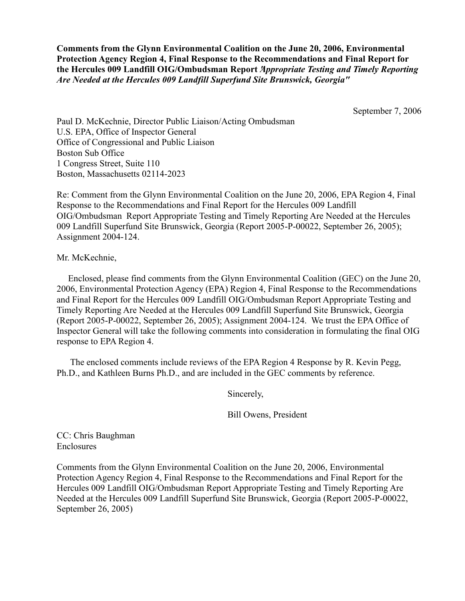**Comments from the Glynn Environmental Coalition on the June 20, 2006, Environmental Protection Agency Region 4, Final Response to the Recommendations and Final Report for the Hercules 009 Landfill OIG/Ombudsman Report** *"Appropriate Testing and Timely Reporting Are Needed at the Hercules 009 Landfill Superfund Site Brunswick, Georgia"*

September 7, 2006

Paul D. McKechnie, Director Public Liaison/Acting Ombudsman U.S. EPA, Office of Inspector General Office of Congressional and Public Liaison Boston Sub Office 1 Congress Street, Suite 110 Boston, Massachusetts 02114-2023

Re: Comment from the Glynn Environmental Coalition on the June 20, 2006, EPA Region 4, Final Response to the Recommendations and Final Report for the Hercules 009 Landfill OIG/Ombudsman Report Appropriate Testing and Timely Reporting Are Needed at the Hercules 009 Landfill Superfund Site Brunswick, Georgia (Report 2005-P-00022, September 26, 2005); Assignment 2004-124.

Mr. McKechnie,

 Enclosed, please find comments from the Glynn Environmental Coalition (GEC) on the June 20, 2006, Environmental Protection Agency (EPA) Region 4, Final Response to the Recommendations and Final Report for the Hercules 009 Landfill OIG/Ombudsman Report Appropriate Testing and Timely Reporting Are Needed at the Hercules 009 Landfill Superfund Site Brunswick, Georgia (Report 2005-P-00022, September 26, 2005); Assignment 2004-124. We trust the EPA Office of Inspector General will take the following comments into consideration in formulating the final OIG response to EPA Region 4.

 The enclosed comments include reviews of the EPA Region 4 Response by R. Kevin Pegg, Ph.D., and Kathleen Burns Ph.D., and are included in the GEC comments by reference.

Sincerely,

Bill Owens, President

CC: Chris Baughman Enclosures

Comments from the Glynn Environmental Coalition on the June 20, 2006, Environmental Protection Agency Region 4, Final Response to the Recommendations and Final Report for the Hercules 009 Landfill OIG/Ombudsman Report Appropriate Testing and Timely Reporting Are Needed at the Hercules 009 Landfill Superfund Site Brunswick, Georgia (Report 2005-P-00022, September 26, 2005)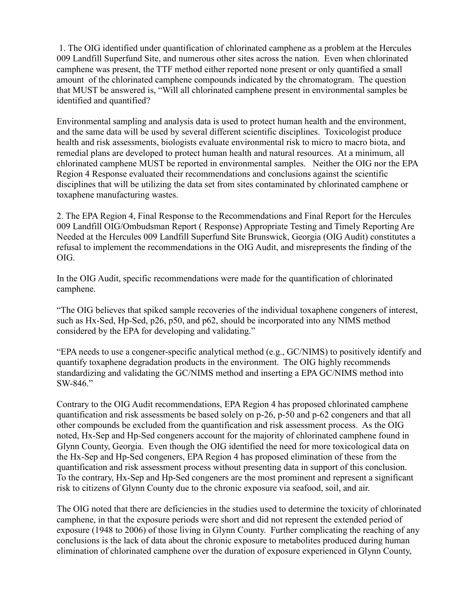1. The OIG identified under quantification of chlorinated camphene as a problem at the Hercules 009 Landfill Superfund Site, and numerous other sites across the nation. Even when chlorinated camphene was present, the TTF method either reported none present or only quantified a small amount of the chlorinated camphene compounds indicated by the chromatogram. The question that MUST be answered is, "Will all chlorinated camphene present in environmental samples be identified and quantified?

Environmental sampling and analysis data is used to protect human health and the environment, and the same data will be used by several different scientific disciplines. Toxicologist produce health and risk assessments, biologists evaluate environmental risk to micro to macro biota, and remedial plans are developed to protect human health and natural resources. At a minimum, all chlorinated camphene MUST be reported in environmental samples. Neither the OIG nor the EPA Region 4 Response evaluated their recommendations and conclusions against the scientific disciplines that will be utilizing the data set from sites contaminated by chlorinated camphene or toxaphene manufacturing wastes.

2. The EPA Region 4, Final Response to the Recommendations and Final Report for the Hercules 009 Landfill OIG/Ombudsman Report ( Response) Appropriate Testing and Timely Reporting Are Needed at the Hercules 009 Landfill Superfund Site Brunswick, Georgia (OIG Audit) constitutes a refusal to implement the recommendations in the OIG Audit, and misrepresents the finding of the OIG.

In the OIG Audit, specific recommendations were made for the quantification of chlorinated camphene.

"The OIG believes that spiked sample recoveries of the individual toxaphene congeners of interest, such as Hx-Sed, Hp-Sed, p26, p50, and p62, should be incorporated into any NIMS method considered by the EPA for developing and validating."

"EPA needs to use a congener-specific analytical method (e.g., GC/NIMS) to positively identify and quantify toxaphene degradation products in the environment. The OIG highly recommends standardizing and validating the GC/NIMS method and inserting a EPA GC/NIMS method into SW-846."

Contrary to the OIG Audit recommendations, EPA Region 4 has proposed chlorinated camphene quantification and risk assessments be based solely on p-26, p-50 and p-62 congeners and that all other compounds be excluded from the quantification and risk assessment process. As the OIG noted, Hx-Sep and Hp-Sed congeners account for the majority of chlorinated camphene found in Glynn County, Georgia. Even though the OIG identified the need for more toxicological data on the Hx-Sep and Hp-Sed congeners, EPA Region 4 has proposed elimination of these from the quantification and risk assessment process without presenting data in support of this conclusion. To the contrary, Hx-Sep and Hp-Sed congeners are the most prominent and represent a significant risk to citizens of Glynn County due to the chronic exposure via seafood, soil, and air.

The OIG noted that there are deficiencies in the studies used to determine the toxicity of chlorinated camphene, in that the exposure periods were short and did not represent the extended period of exposure (1948 to 2006) of those living in Glynn County. Further complicating the reaching of any conclusions is the lack of data about the chronic exposure to metabolites produced during human elimination of chlorinated camphene over the duration of exposure experienced in Glynn County,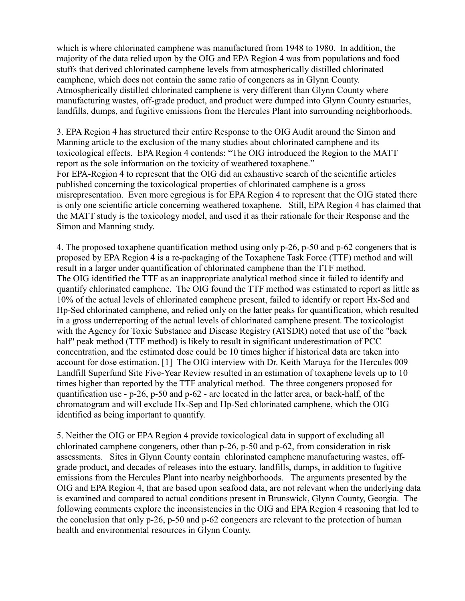which is where chlorinated camphene was manufactured from 1948 to 1980. In addition, the majority of the data relied upon by the OIG and EPA Region 4 was from populations and food stuffs that derived chlorinated camphene levels from atmospherically distilled chlorinated camphene, which does not contain the same ratio of congeners as in Glynn County. Atmospherically distilled chlorinated camphene is very different than Glynn County where manufacturing wastes, off-grade product, and product were dumped into Glynn County estuaries, landfills, dumps, and fugitive emissions from the Hercules Plant into surrounding neighborhoods.

3. EPA Region 4 has structured their entire Response to the OIG Audit around the Simon and Manning article to the exclusion of the many studies about chlorinated camphene and its toxicological effects. EPA Region 4 contends: "The OIG introduced the Region to the MATT report as the sole information on the toxicity of weathered toxaphene." For EPA-Region 4 to represent that the OIG did an exhaustive search of the scientific articles published concerning the toxicological properties of chlorinated camphene is a gross misrepresentation. Even more egregious is for EPA Region 4 to represent that the OIG stated there is only one scientific article concerning weathered toxaphene. Still, EPA Region 4 has claimed that the MATT study is the toxicology model, and used it as their rationale for their Response and the Simon and Manning study.

4. The proposed toxaphene quantification method using only p-26, p-50 and p-62 congeners that is proposed by EPA Region 4 is a re-packaging of the Toxaphene Task Force (TTF) method and will result in a larger under quantification of chlorinated camphene than the TTF method. The OIG identified the TTF as an inappropriate analytical method since it failed to identify and quantify chlorinated camphene. The OIG found the TTF method was estimated to report as little as 10% of the actual levels of chlorinated camphene present, failed to identify or report Hx-Sed and Hp-Sed chlorinated camphene, and relied only on the latter peaks for quantification, which resulted in a gross underreporting of the actual levels of chlorinated camphene present. The toxicologist with the Agency for Toxic Substance and Disease Registry (ATSDR) noted that use of the "back half" peak method (TTF method) is likely to result in significant underestimation of PCC concentration, and the estimated dose could be 10 times higher if historical data are taken into account for dose estimation. [1] The OIG interview with Dr. Keith Maruya for the Hercules 009 Landfill Superfund Site Five-Year Review resulted in an estimation of toxaphene levels up to 10 times higher than reported by the TTF analytical method. The three congeners proposed for quantification use - p-26, p-50 and p-62 - are located in the latter area, or back-half, of the chromatogram and will exclude Hx-Sep and Hp-Sed chlorinated camphene, which the OIG identified as being important to quantify.

5. Neither the OIG or EPA Region 4 provide toxicological data in support of excluding all chlorinated camphene congeners, other than p-26, p-50 and p-62, from consideration in risk assessments. Sites in Glynn County contain chlorinated camphene manufacturing wastes, offgrade product, and decades of releases into the estuary, landfills, dumps, in addition to fugitive emissions from the Hercules Plant into nearby neighborhoods. The arguments presented by the OIG and EPA Region 4, that are based upon seafood data, are not relevant when the underlying data is examined and compared to actual conditions present in Brunswick, Glynn County, Georgia. The following comments explore the inconsistencies in the OIG and EPA Region 4 reasoning that led to the conclusion that only p-26, p-50 and p-62 congeners are relevant to the protection of human health and environmental resources in Glynn County.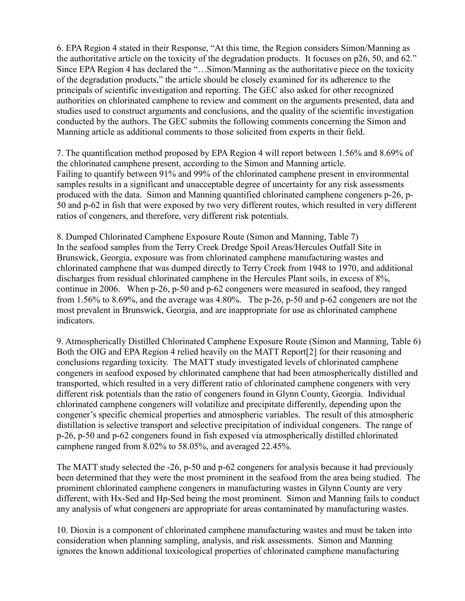6. EPA Region 4 stated in their Response, "At this time, the Region considers Simon/Manning as the authoritative article on the toxicity of the degradation products. It focuses on p26, 50, and 62." Since EPA Region 4 has declared the "…Simon/Manning as the authoritative piece on the toxicity of the degradation products," the article should be closely examined for its adherence to the principals of scientific investigation and reporting. The GEC also asked for other recognized authorities on chlorinated camphene to review and comment on the arguments presented, data and studies used to construct arguments and conclusions, and the quality of the scientific investigation conducted by the authors. The GEC submits the following comments concerning the Simon and Manning article as additional comments to those solicited from experts in their field.

7. The quantification method proposed by EPA Region 4 will report between 1.56% and 8.69% of the chlorinated camphene present, according to the Simon and Manning article. Failing to quantify between 91% and 99% of the chlorinated camphene present in environmental samples results in a significant and unacceptable degree of uncertainty for any risk assessments produced with the data. Simon and Manning quantified chlorinated camphene congeners p-26, p-50 and p-62 in fish that were exposed by two very different routes, which resulted in very different ratios of congeners, and therefore, very different risk potentials.

8. Dumped Chlorinated Camphene Exposure Route (Simon and Manning, Table 7) In the seafood samples from the Terry Creek Dredge Spoil Areas/Hercules Outfall Site in Brunswick, Georgia, exposure was from chlorinated camphene manufacturing wastes and chlorinated camphene that was dumped directly to Terry Creek from 1948 to 1970, and additional discharges from residual chlorinated camphene in the Hercules Plant soils, in excess of 8%, continue in 2006. When p-26, p-50 and p-62 congeners were measured in seafood, they ranged from 1.56% to 8.69%, and the average was 4.80%. The p-26, p-50 and p-62 congeners are not the most prevalent in Brunswick, Georgia, and are inappropriate for use as chlorinated camphene indicators.

9. Atmospherically Distilled Chlorinated Camphene Exposure Route (Simon and Manning, Table 6) Both the OIG and EPA Region 4 relied heavily on the MATT Report[2] for their reasoning and conclusions regarding toxicity. The MATT study investigated levels of chlorinated camphene congeners in seafood exposed by chlorinated camphene that had been atmospherically distilled and transported, which resulted in a very different ratio of chlorinated camphene congeners with very different risk potentials than the ratio of congeners found in Glynn County, Georgia. Individual chlorinated camphene congeners will volatilize and precipitate differently, depending upon the congener's specific chemical properties and atmospheric variables. The result of this atmospheric distillation is selective transport and selective precipitation of individual congeners. The range of p-26, p-50 and p-62 congeners found in fish exposed via atmospherically distilled chlorinated camphene ranged from 8.02% to 58.05%, and averaged 22.45%.

The MATT study selected the -26, p-50 and p-62 congeners for analysis because it had previously been determined that they were the most prominent in the seafood from the area being studied. The prominent chlorinated camphene congeners in manufacturing wastes in Glynn County are very different, with Hx-Sed and Hp-Sed being the most prominent. Simon and Manning fails to conduct any analysis of what congeners are appropriate for areas contaminated by manufacturing wastes.

10. Dioxin is a component of chlorinated camphene manufacturing wastes and must be taken into consideration when planning sampling, analysis, and risk assessments. Simon and Manning ignores the known additional toxicological properties of chlorinated camphene manufacturing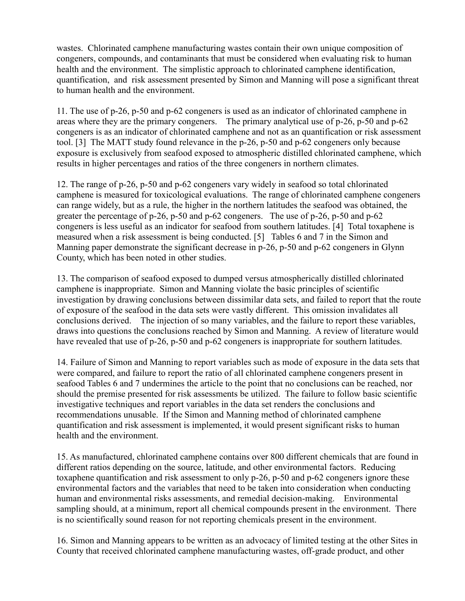wastes. Chlorinated camphene manufacturing wastes contain their own unique composition of congeners, compounds, and contaminants that must be considered when evaluating risk to human health and the environment. The simplistic approach to chlorinated camphene identification, quantification, and risk assessment presented by Simon and Manning will pose a significant threat to human health and the environment.

11. The use of p-26, p-50 and p-62 congeners is used as an indicator of chlorinated camphene in areas where they are the primary congeners. The primary analytical use of p-26, p-50 and p-62 congeners is as an indicator of chlorinated camphene and not as an quantification or risk assessment tool. [3] The MATT study found relevance in the p-26, p-50 and p-62 congeners only because exposure is exclusively from seafood exposed to atmospheric distilled chlorinated camphene, which results in higher percentages and ratios of the three congeners in northern climates.

12. The range of p-26, p-50 and p-62 congeners vary widely in seafood so total chlorinated camphene is measured for toxicological evaluations. The range of chlorinated camphene congeners can range widely, but as a rule, the higher in the northern latitudes the seafood was obtained, the greater the percentage of p-26, p-50 and p-62 congeners. The use of p-26, p-50 and p-62 congeners is less useful as an indicator for seafood from southern latitudes. [4] Total toxaphene is measured when a risk assessment is being conducted. [5] Tables 6 and 7 in the Simon and Manning paper demonstrate the significant decrease in p-26, p-50 and p-62 congeners in Glynn County, which has been noted in other studies.

13. The comparison of seafood exposed to dumped versus atmospherically distilled chlorinated camphene is inappropriate. Simon and Manning violate the basic principles of scientific investigation by drawing conclusions between dissimilar data sets, and failed to report that the route of exposure of the seafood in the data sets were vastly different. This omission invalidates all conclusions derived. The injection of so many variables, and the failure to report these variables, draws into questions the conclusions reached by Simon and Manning. A review of literature would have revealed that use of p-26, p-50 and p-62 congeners is inappropriate for southern latitudes.

14. Failure of Simon and Manning to report variables such as mode of exposure in the data sets that were compared, and failure to report the ratio of all chlorinated camphene congeners present in seafood Tables 6 and 7 undermines the article to the point that no conclusions can be reached, nor should the premise presented for risk assessments be utilized. The failure to follow basic scientific investigative techniques and report variables in the data set renders the conclusions and recommendations unusable. If the Simon and Manning method of chlorinated camphene quantification and risk assessment is implemented, it would present significant risks to human health and the environment.

15. As manufactured, chlorinated camphene contains over 800 different chemicals that are found in different ratios depending on the source, latitude, and other environmental factors. Reducing toxaphene quantification and risk assessment to only p-26, p-50 and p-62 congeners ignore these environmental factors and the variables that need to be taken into consideration when conducting human and environmental risks assessments, and remedial decision-making. Environmental sampling should, at a minimum, report all chemical compounds present in the environment. There is no scientifically sound reason for not reporting chemicals present in the environment.

16. Simon and Manning appears to be written as an advocacy of limited testing at the other Sites in County that received chlorinated camphene manufacturing wastes, off-grade product, and other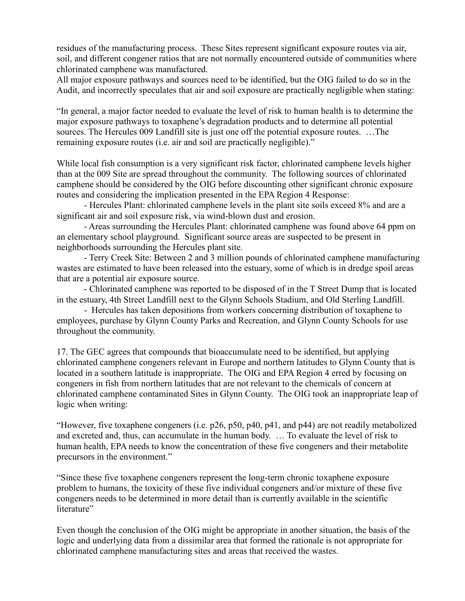residues of the manufacturing process. These Sites represent significant exposure routes via air, soil, and different congener ratios that are not normally encountered outside of communities where chlorinated camphene was manufactured.

All major exposure pathways and sources need to be identified, but the OIG failed to do so in the Audit, and incorrectly speculates that air and soil exposure are practically negligible when stating:

"In general, a major factor needed to evaluate the level of risk to human health is to determine the major exposure pathways to toxaphene's degradation products and to determine all potential sources. The Hercules 009 Landfill site is just one off the potential exposure routes. …The remaining exposure routes (i.e. air and soil are practically negligible)."

While local fish consumption is a very significant risk factor, chlorinated camphene levels higher than at the 009 Site are spread throughout the community. The following sources of chlorinated camphene should be considered by the OIG before discounting other significant chronic exposure routes and considering the implication presented in the EPA Region 4 Response:

 - Hercules Plant: chlorinated camphene levels in the plant site soils exceed 8% and are a significant air and soil exposure risk, via wind-blown dust and erosion.

 - Areas surrounding the Hercules Plant: chlorinated camphene was found above 64 ppm on an elementary school playground. Significant source areas are suspected to be present in neighborhoods surrounding the Hercules plant site.

 - Terry Creek Site: Between 2 and 3 million pounds of chlorinated camphene manufacturing wastes are estimated to have been released into the estuary, some of which is in dredge spoil areas that are a potential air exposure source.

 - Chlorinated camphene was reported to be disposed of in the T Street Dump that is located in the estuary, 4th Street Landfill next to the Glynn Schools Stadium, and Old Sterling Landfill.

 - Hercules has taken depositions from workers concerning distribution of toxaphene to employees, purchase by Glynn County Parks and Recreation, and Glynn County Schools for use throughout the community.

17. The GEC agrees that compounds that bioaccumulate need to be identified, but applying chlorinated camphene congeners relevant in Europe and northern latitudes to Glynn County that is located in a southern latitude is inappropriate. The OIG and EPA Region 4 erred by focusing on congeners in fish from northern latitudes that are not relevant to the chemicals of concern at chlorinated camphene contaminated Sites in Glynn County. The OIG took an inappropriate leap of logic when writing:

"However, five toxaphene congeners (i.e. p26, p50, p40, p41, and p44) are not readily metabolized and excreted and, thus, can accumulate in the human body. … To evaluate the level of risk to human health, EPA needs to know the concentration of these five congeners and their metabolite precursors in the environment."

"Since these five toxaphene congeners represent the long-term chronic toxaphene exposure problem to humans, the toxicity of these five individual congeners and/or mixture of these five congeners needs to be determined in more detail than is currently available in the scientific literature"

Even though the conclusion of the OIG might be appropriate in another situation, the basis of the logic and underlying data from a dissimilar area that formed the rationale is not appropriate for chlorinated camphene manufacturing sites and areas that received the wastes.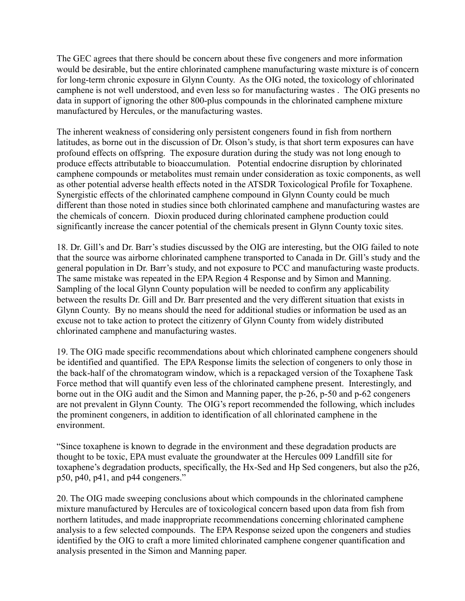The GEC agrees that there should be concern about these five congeners and more information would be desirable, but the entire chlorinated camphene manufacturing waste mixture is of concern for long-term chronic exposure in Glynn County. As the OIG noted, the toxicology of chlorinated camphene is not well understood, and even less so for manufacturing wastes . The OIG presents no data in support of ignoring the other 800-plus compounds in the chlorinated camphene mixture manufactured by Hercules, or the manufacturing wastes.

The inherent weakness of considering only persistent congeners found in fish from northern latitudes, as borne out in the discussion of Dr. Olson's study, is that short term exposures can have profound effects on offspring. The exposure duration during the study was not long enough to produce effects attributable to bioaccumulation. Potential endocrine disruption by chlorinated camphene compounds or metabolites must remain under consideration as toxic components, as well as other potential adverse health effects noted in the ATSDR Toxicological Profile for Toxaphene. Synergistic effects of the chlorinated camphene compound in Glynn County could be much different than those noted in studies since both chlorinated camphene and manufacturing wastes are the chemicals of concern. Dioxin produced during chlorinated camphene production could significantly increase the cancer potential of the chemicals present in Glynn County toxic sites.

18. Dr. Gill's and Dr. Barr's studies discussed by the OIG are interesting, but the OIG failed to note that the source was airborne chlorinated camphene transported to Canada in Dr. Gill's study and the general population in Dr. Barr's study, and not exposure to PCC and manufacturing waste products. The same mistake was repeated in the EPA Region 4 Response and by Simon and Manning. Sampling of the local Glynn County population will be needed to confirm any applicability between the results Dr. Gill and Dr. Barr presented and the very different situation that exists in Glynn County. By no means should the need for additional studies or information be used as an excuse not to take action to protect the citizenry of Glynn County from widely distributed chlorinated camphene and manufacturing wastes.

19. The OIG made specific recommendations about which chlorinated camphene congeners should be identified and quantified. The EPA Response limits the selection of congeners to only those in the back-half of the chromatogram window, which is a repackaged version of the Toxaphene Task Force method that will quantify even less of the chlorinated camphene present. Interestingly, and borne out in the OIG audit and the Simon and Manning paper, the p-26, p-50 and p-62 congeners are not prevalent in Glynn County. The OIG's report recommended the following, which includes the prominent congeners, in addition to identification of all chlorinated camphene in the environment.

"Since toxaphene is known to degrade in the environment and these degradation products are thought to be toxic, EPA must evaluate the groundwater at the Hercules 009 Landfill site for toxaphene's degradation products, specifically, the Hx-Sed and Hp Sed congeners, but also the p26, p50, p40, p41, and p44 congeners."

20. The OIG made sweeping conclusions about which compounds in the chlorinated camphene mixture manufactured by Hercules are of toxicological concern based upon data from fish from northern latitudes, and made inappropriate recommendations concerning chlorinated camphene analysis to a few selected compounds. The EPA Response seized upon the congeners and studies identified by the OIG to craft a more limited chlorinated camphene congener quantification and analysis presented in the Simon and Manning paper.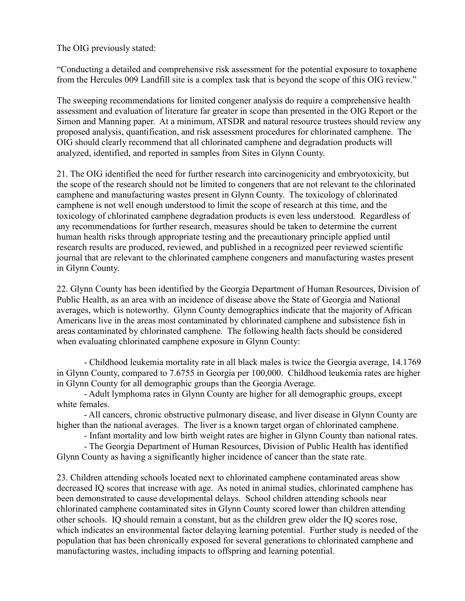The OIG previously stated:

"Conducting a detailed and comprehensive risk assessment for the potential exposure to toxaphene from the Hercules 009 Landfill site is a complex task that is beyond the scope of this OIG review."

The sweeping recommendations for limited congener analysis do require a comprehensive health assessment and evaluation of literature far greater in scope than presented in the OIG Report or the Simon and Manning paper. At a minimum, ATSDR and natural resource trustees should review any proposed analysis, quantification, and risk assessment procedures for chlorinated camphene. The OIG should clearly recommend that all chlorinated camphene and degradation products will analyzed, identified, and reported in samples from Sites in Glynn County.

21. The OIG identified the need for further research into carcinogenicity and embryotoxicity, but the scope of the research should not be limited to congeners that are not relevant to the chlorinated camphene and manufacturing wastes present in Glynn County. The toxicology of chlorinated camphene is not well enough understood to limit the scope of research at this time, and the toxicology of chlorinated camphene degradation products is even less understood. Regardless of any recommendations for further research, measures should be taken to determine the current human health risks through appropriate testing and the precautionary principle applied until research results are produced, reviewed, and published in a recognized peer reviewed scientific journal that are relevant to the chlorinated camphene congeners and manufacturing wastes present in Glynn County.

22. Glynn County has been identified by the Georgia Department of Human Resources, Division of Public Health, as an area with an incidence of disease above the State of Georgia and National averages, which is noteworthy. Glynn County demographics indicate that the majority of African Americans live in the areas most contaminated by chlorinated camphene and subsistence fish in areas contaminated by chlorinated camphene. The following health facts should be considered when evaluating chlorinated camphene exposure in Glynn County:

 - Childhood leukemia mortality rate in all black males is twice the Georgia average, 14.1769 in Glynn County, compared to 7.6755 in Georgia per 100,000. Childhood leukemia rates are higher in Glynn County for all demographic groups than the Georgia Average.

 - Adult lymphoma rates in Glynn County are higher for all demographic groups, except white females.

 - All cancers, chronic obstructive pulmonary disease, and liver disease in Glynn County are higher than the national averages. The liver is a known target organ of chlorinated camphene.

- Infant mortality and low birth weight rates are higher in Glynn County than national rates.

 - The Georgia Department of Human Resources, Division of Public Health has identified Glynn County as having a significantly higher incidence of cancer than the state rate.

23. Children attending schools located next to chlorinated camphene contaminated areas show decreased IQ scores that increase with age. As noted in animal studies, chlorinated camphene has been demonstrated to cause developmental delays. School children attending schools near chlorinated camphene contaminated sites in Glynn County scored lower than children attending other schools. IQ should remain a constant, but as the children grew older the IQ scores rose, which indicates an environmental factor delaying learning potential. Further study is needed of the population that has been chronically exposed for several generations to chlorinated camphene and manufacturing wastes, including impacts to offspring and learning potential.